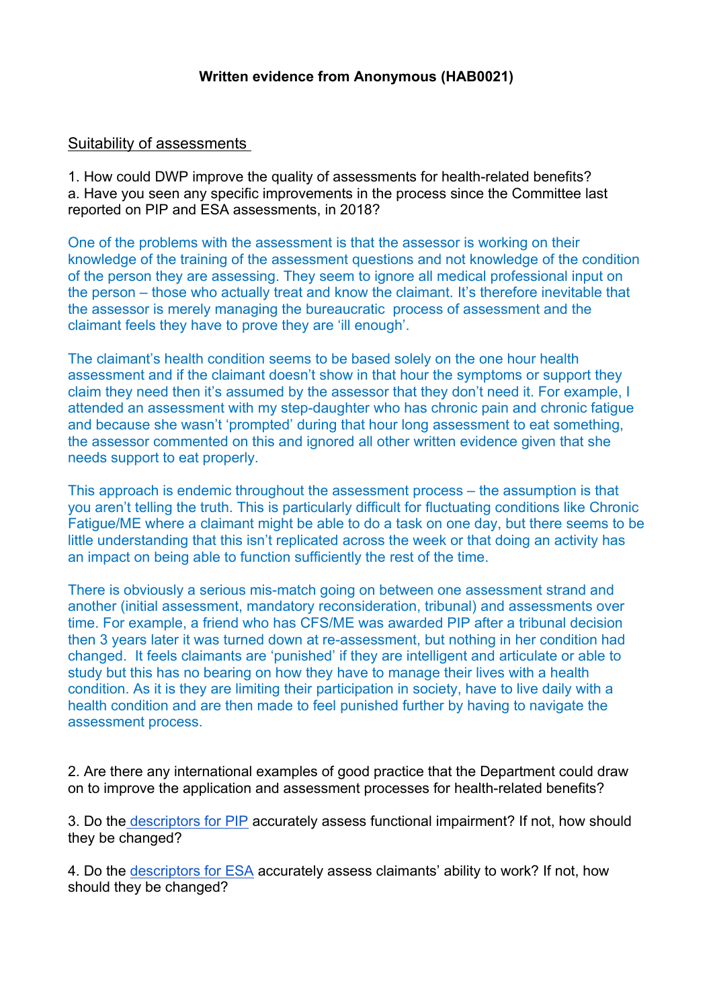# Suitability of assessments

1. How could DWP improve the quality of assessments for health-related benefits? a. Have you seen any specific improvements in the process since the Committee last reported on PIP and ESA assessments, in 2018?

One of the problems with the assessment is that the assessor is working on their knowledge of the training of the assessment questions and not knowledge of the condition of the person they are assessing. They seem to ignore all medical professional input on the person – those who actually treat and know the claimant. It's therefore inevitable that the assessor is merely managing the [bureaucratic](https://www.google.com/search?client=firefox-b-d&q=bureaucratic&spell=1&sa=X&ved=2ahUKEwiOqP6TvvfzAhU4RUEAHV-fDocQBSgAegQIAhAx) process of assessment and the claimant feels they have to prove they are 'ill enough'.

The claimant's health condition seems to be based solely on the one hour health assessment and if the claimant doesn't show in that hour the symptoms or support they claim they need then it's assumed by the assessor that they don't need it. For example, I attended an assessment with my step-daughter who has chronic pain and chronic fatigue and because she wasn't 'prompted' during that hour long assessment to eat something, the assessor commented on this and ignored all other written evidence given that she needs support to eat properly.

This approach is endemic throughout the assessment process – the assumption is that you aren't telling the truth. This is particularly difficult for fluctuating conditions like Chronic Fatigue/ME where a claimant might be able to do a task on one day, but there seems to be little understanding that this isn't replicated across the week or that doing an activity has an impact on being able to function sufficiently the rest of the time.

There is obviously a serious mis-match going on between one assessment strand and another (initial assessment, mandatory reconsideration, tribunal) and assessments over time. For example, a friend who has CFS/ME was awarded PIP after a tribunal decision then 3 years later it was turned down at re-assessment, but nothing in her condition had changed. It feels claimants are 'punished' if they are intelligent and articulate or able to study but this has no bearing on how they have to manage their lives with a health condition. As it is they are limiting their participation in society, have to live daily with a health condition and are then made to feel punished further by having to navigate the assessment process.

2. Are there any international examples of good practice that the Department could draw on to improve the application and assessment processes for health-related benefits?

3. Do th[e](https://www.citizensadvice.org.uk/Global/Migrated_Documents/adviceguide/pip-9-table-of-activities-descriptors-and-points.pdf) [descriptors](https://www.citizensadvice.org.uk/Global/Migrated_Documents/adviceguide/pip-9-table-of-activities-descriptors-and-points.pdf) [for](https://www.citizensadvice.org.uk/Global/Migrated_Documents/adviceguide/pip-9-table-of-activities-descriptors-and-points.pdf) [PIP](https://www.citizensadvice.org.uk/Global/Migrated_Documents/adviceguide/pip-9-table-of-activities-descriptors-and-points.pdf) accurately assess functional impairment? If not, how should they be changed?

4. Do the [descriptors](https://www.citizensadvice.org.uk/benefits/sick-or-disabled-people-and-carers/employment-and-support-allowance/help-with-your-esa-claim/fill-in-form/) [for](https://www.citizensadvice.org.uk/benefits/sick-or-disabled-people-and-carers/employment-and-support-allowance/help-with-your-esa-claim/fill-in-form/) [ESA](https://www.citizensadvice.org.uk/benefits/sick-or-disabled-people-and-carers/employment-and-support-allowance/help-with-your-esa-claim/fill-in-form/) accurately assess claimants' ability to work? If not, how should they be changed?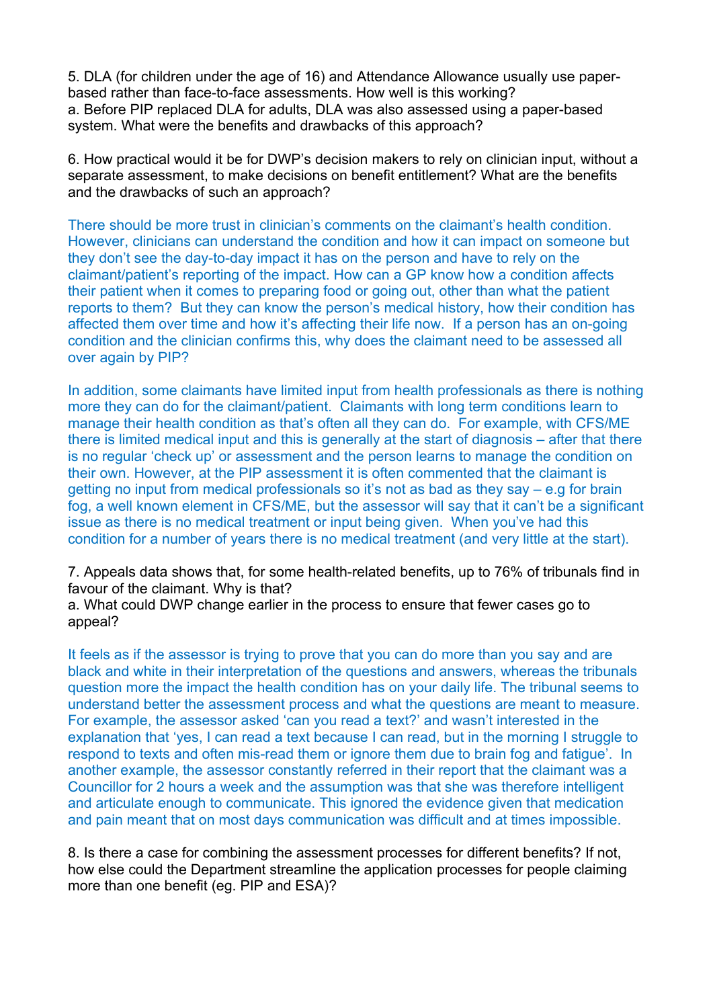5. DLA (for children under the age of 16) and Attendance Allowance usually use paperbased rather than face-to-face assessments. How well is this working? a. Before PIP replaced DLA for adults, DLA was also assessed using a paper-based system. What were the benefits and drawbacks of this approach?

6. How practical would it be for DWP's decision makers to rely on clinician input, without a separate assessment, to make decisions on benefit entitlement? What are the benefits and the drawbacks of such an approach?

There should be more trust in clinician's comments on the claimant's health condition. However, clinicians can understand the condition and how it can impact on someone but they don't see the day-to-day impact it has on the person and have to rely on the claimant/patient's reporting of the impact. How can a GP know how a condition affects their patient when it comes to preparing food or going out, other than what the patient reports to them? But they can know the person's medical history, how their condition has affected them over time and how it's affecting their life now. If a person has an on-going condition and the clinician confirms this, why does the claimant need to be assessed all over again by PIP?

In addition, some claimants have limited input from health professionals as there is nothing more they can do for the claimant/patient. Claimants with long term conditions learn to manage their health condition as that's often all they can do. For example, with CFS/ME there is limited medical input and this is generally at the start of diagnosis – after that there is no regular 'check up' or assessment and the person learns to manage the condition on their own. However, at the PIP assessment it is often commented that the claimant is getting no input from medical professionals so it's not as bad as they say – e.g for brain fog, a well known element in CFS/ME, but the assessor will say that it can't be a significant issue as there is no medical treatment or input being given. When you've had this condition for a number of years there is no medical treatment (and very little at the start).

7. Appeals data shows that, for some health-related benefits, up to 76% of tribunals find in favour of the claimant. Why is that?

a. What could DWP change earlier in the process to ensure that fewer cases go to appeal?

It feels as if the assessor is trying to prove that you can do more than you say and are black and white in their interpretation of the questions and answers, whereas the tribunals question more the impact the health condition has on your daily life. The tribunal seems to understand better the assessment process and what the questions are meant to measure. For example, the assessor asked 'can you read a text?' and wasn't interested in the explanation that 'yes, I can read a text because I can read, but in the morning I struggle to respond to texts and often mis-read them or ignore them due to brain fog and fatigue'. In another example, the assessor constantly referred in their report that the claimant was a Councillor for 2 hours a week and the assumption was that she was therefore intelligent and articulate enough to communicate. This ignored the evidence given that medication and pain meant that on most days communication was difficult and at times impossible.

8. Is there a case for combining the assessment processes for different benefits? If not, how else could the Department streamline the application processes for people claiming more than one benefit (eg. PIP and ESA)?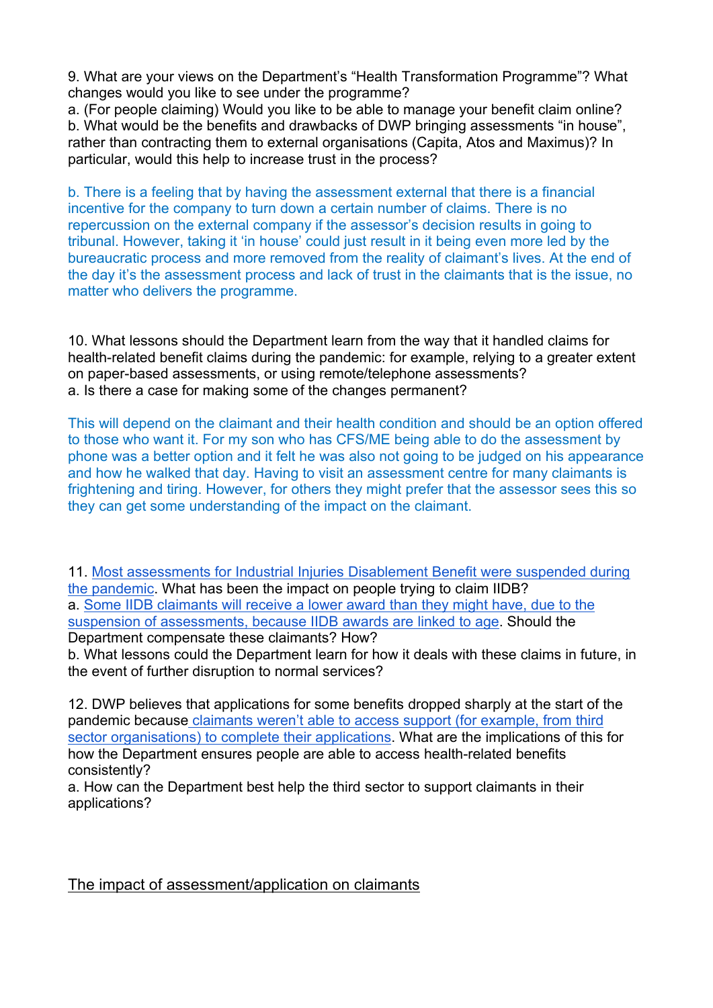9. What are your views on the Department's "Health Transformation Programme"? What changes would you like to see under the programme?

a. (For people claiming) Would you like to be able to manage your benefit claim online? b. What would be the benefits and drawbacks of DWP bringing assessments "in house", rather than contracting them to external organisations (Capita, Atos and Maximus)? In particular, would this help to increase trust in the process?

b. There is a feeling that by having the assessment external that there is a financial incentive for the company to turn down a certain number of claims. There is no repercussion on the external company if the assessor's decision results in going to tribunal. However, taking it 'in house' could just result in it being even more led by the bureaucratic process and more removed from the reality of claimant's lives. At the end of the day it's the assessment process and lack of trust in the claimants that is the issue, no matter who delivers the programme.

10. What lessons should the Department learn from the way that it handled claims for health-related benefit claims during the pandemic: for example, relying to a greater extent on paper-based assessments, or using remote/telephone assessments? a. Is there a case for making some of the changes permanent?

This will depend on the claimant and their health condition and should be an option offered to those who want it. For my son who has CFS/ME being able to do the assessment by phone was a better option and it felt he was also not going to be judged on his appearance and how he walked that day. Having to visit an assessment centre for many claimants is frightening and tiring. However, for others they might prefer that the assessor sees this so they can get some understanding of the impact on the claimant.

11. [Most](https://committees.parliament.uk/publications/3837/documents/38519/default/) [assessments](https://committees.parliament.uk/publications/3837/documents/38519/default/) [for](https://committees.parliament.uk/publications/3837/documents/38519/default/) [Industrial](https://committees.parliament.uk/publications/3837/documents/38519/default/) [Injuries](https://committees.parliament.uk/publications/3837/documents/38519/default/) [Disablement](https://committees.parliament.uk/publications/3837/documents/38519/default/) [Benefit](https://committees.parliament.uk/publications/3837/documents/38519/default/) [were](https://committees.parliament.uk/publications/3837/documents/38519/default/) [suspended](https://committees.parliament.uk/publications/3837/documents/38519/default/) [during](https://committees.parliament.uk/publications/3837/documents/38519/default/) [the](https://committees.parliament.uk/publications/3837/documents/38519/default/) [pandemic.](https://committees.parliament.uk/publications/3837/documents/38519/default/) What ha[s](https://committees.parliament.uk/oralevidence/1630/pdf/) b[ee](https://committees.parliament.uk/oralevidence/1630/pdf/)n the i[mp](https://committees.parliament.uk/oralevidence/1630/pdf/)act on people try[in](https://committees.parliament.uk/oralevidence/1630/pdf/)g t[o](https://committees.parliament.uk/oralevidence/1630/pdf/) claim IIDB? a. [Some](https://committees.parliament.uk/oralevidence/1630/pdf/) [IIDB](https://committees.parliament.uk/oralevidence/1630/pdf/) [claimants](https://committees.parliament.uk/oralevidence/1630/pdf/) [will](https://committees.parliament.uk/oralevidence/1630/pdf/) [receive](https://committees.parliament.uk/oralevidence/1630/pdf/) [a](https://committees.parliament.uk/oralevidence/1630/pdf/) [lower](https://committees.parliament.uk/oralevidence/1630/pdf/) [award](https://committees.parliament.uk/oralevidence/1630/pdf/) [than](https://committees.parliament.uk/oralevidence/1630/pdf/) [they](https://committees.parliament.uk/oralevidence/1630/pdf/) [might](https://committees.parliament.uk/oralevidence/1630/pdf/) [have,](https://committees.parliament.uk/oralevidence/1630/pdf/) [due](https://committees.parliament.uk/oralevidence/1630/pdf/) [to](https://committees.parliament.uk/oralevidence/1630/pdf/) [the](https://committees.parliament.uk/oralevidence/1630/pdf/) [suspension](https://committees.parliament.uk/oralevidence/1630/pdf/) [of](https://committees.parliament.uk/oralevidence/1630/pdf/) [assessments,](https://committees.parliament.uk/oralevidence/1630/pdf/) [because](https://committees.parliament.uk/oralevidence/1630/pdf/) [IIDB](https://committees.parliament.uk/oralevidence/1630/pdf/) [awards](https://committees.parliament.uk/oralevidence/1630/pdf/) [are](https://committees.parliament.uk/oralevidence/1630/pdf/) [linked](https://committees.parliament.uk/oralevidence/1630/pdf/) [to](https://committees.parliament.uk/oralevidence/1630/pdf/) [age.](https://committees.parliament.uk/oralevidence/1630/pdf/) Should the Department compensate these claimants? How?

b. What lessons could the Department learn for how it deals with these claims in future, in the event of further disruption to normal services?

12. DWP believes that applications for some benefits dropped sharply at the start of the pandemic becaus[e](https://publications.parliament.uk/pa/cm5801/cmselect/cmworpen/732/73202.htm) [claimants](https://publications.parliament.uk/pa/cm5801/cmselect/cmworpen/732/73202.htm) [weren't](https://publications.parliament.uk/pa/cm5801/cmselect/cmworpen/732/73202.htm) [able](https://publications.parliament.uk/pa/cm5801/cmselect/cmworpen/732/73202.htm) [to](https://publications.parliament.uk/pa/cm5801/cmselect/cmworpen/732/73202.htm) [access](https://publications.parliament.uk/pa/cm5801/cmselect/cmworpen/732/73202.htm) [support](https://publications.parliament.uk/pa/cm5801/cmselect/cmworpen/732/73202.htm) [\(for](https://publications.parliament.uk/pa/cm5801/cmselect/cmworpen/732/73202.htm) [example,](https://publications.parliament.uk/pa/cm5801/cmselect/cmworpen/732/73202.htm) [from](https://publications.parliament.uk/pa/cm5801/cmselect/cmworpen/732/73202.htm) [third](https://publications.parliament.uk/pa/cm5801/cmselect/cmworpen/732/73202.htm) [sector](https://publications.parliament.uk/pa/cm5801/cmselect/cmworpen/732/73202.htm) [organisations\)](https://publications.parliament.uk/pa/cm5801/cmselect/cmworpen/732/73202.htm) [to](https://publications.parliament.uk/pa/cm5801/cmselect/cmworpen/732/73202.htm) [complete](https://publications.parliament.uk/pa/cm5801/cmselect/cmworpen/732/73202.htm) [their](https://publications.parliament.uk/pa/cm5801/cmselect/cmworpen/732/73202.htm) [applications.](https://publications.parliament.uk/pa/cm5801/cmselect/cmworpen/732/73202.htm) What are the implications of this for how the Department ensures people are able to access health-related benefits consistently?

a. How can the Department best help the third sector to support claimants in their applications?

The impact of assessment/application on claimants